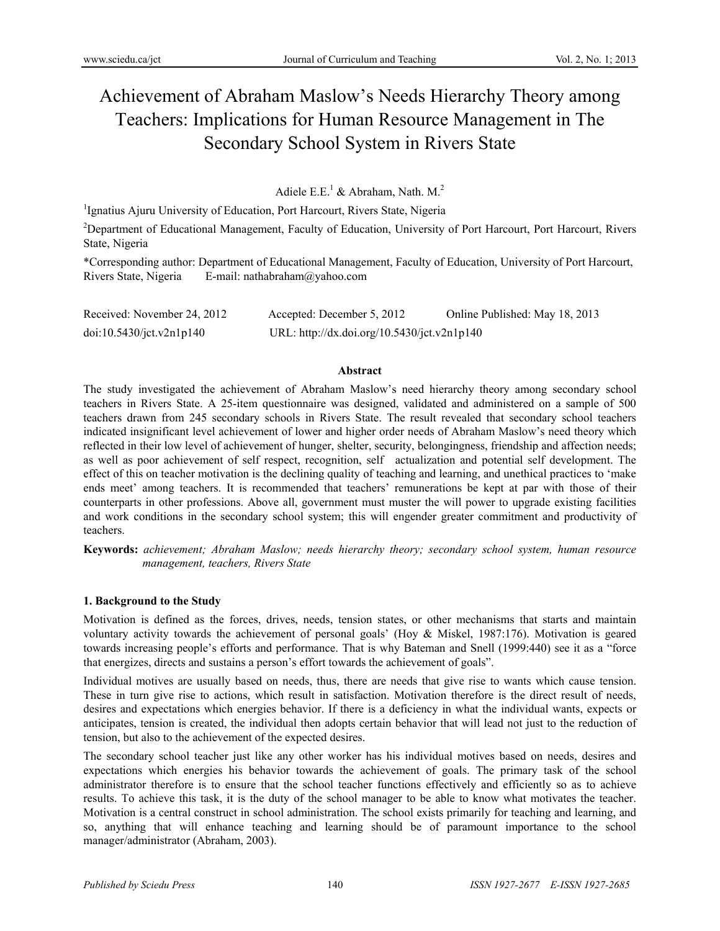# Achievement of Abraham Maslow's Needs Hierarchy Theory among Teachers: Implications for Human Resource Management in The Secondary School System in Rivers State

Adiele E.E.<sup>1</sup> & Abraham, Nath. M.<sup>2</sup>

<sup>1</sup>Ignatius Ajuru University of Education, Port Harcourt, Rivers State, Nigeria

<sup>2</sup>Department of Educational Management, Faculty of Education, University of Port Harcourt, Port Harcourt, Rivers State, Nigeria

\*Corresponding author: Department of Educational Management, Faculty of Education, University of Port Harcourt, Rivers State, Nigeria E-mail: nathabraham@yahoo.com

| Received: November 24, 2012 | Accepted: December 5, 2012                  | Online Published: May 18, 2013 |
|-----------------------------|---------------------------------------------|--------------------------------|
| doi:10.5430/jct.v2n1p140    | URL: http://dx.doi.org/10.5430/jct.v2n1p140 |                                |

#### **Abstract**

The study investigated the achievement of Abraham Maslow's need hierarchy theory among secondary school teachers in Rivers State. A 25-item questionnaire was designed, validated and administered on a sample of 500 teachers drawn from 245 secondary schools in Rivers State. The result revealed that secondary school teachers indicated insignificant level achievement of lower and higher order needs of Abraham Maslow's need theory which reflected in their low level of achievement of hunger, shelter, security, belongingness, friendship and affection needs; as well as poor achievement of self respect, recognition, self actualization and potential self development. The effect of this on teacher motivation is the declining quality of teaching and learning, and unethical practices to 'make ends meet' among teachers. It is recommended that teachers' remunerations be kept at par with those of their counterparts in other professions. Above all, government must muster the will power to upgrade existing facilities and work conditions in the secondary school system; this will engender greater commitment and productivity of teachers.

**Keywords:** *achievement; Abraham Maslow; needs hierarchy theory; secondary school system, human resource management, teachers, Rivers State*

# **1. Background to the Study**

Motivation is defined as the forces, drives, needs, tension states, or other mechanisms that starts and maintain voluntary activity towards the achievement of personal goals' (Hoy & Miskel, 1987:176). Motivation is geared towards increasing people's efforts and performance. That is why Bateman and Snell (1999:440) see it as a "force that energizes, directs and sustains a person's effort towards the achievement of goals".

Individual motives are usually based on needs, thus, there are needs that give rise to wants which cause tension. These in turn give rise to actions, which result in satisfaction. Motivation therefore is the direct result of needs, desires and expectations which energies behavior. If there is a deficiency in what the individual wants, expects or anticipates, tension is created, the individual then adopts certain behavior that will lead not just to the reduction of tension, but also to the achievement of the expected desires.

The secondary school teacher just like any other worker has his individual motives based on needs, desires and expectations which energies his behavior towards the achievement of goals. The primary task of the school administrator therefore is to ensure that the school teacher functions effectively and efficiently so as to achieve results. To achieve this task, it is the duty of the school manager to be able to know what motivates the teacher. Motivation is a central construct in school administration. The school exists primarily for teaching and learning, and so, anything that will enhance teaching and learning should be of paramount importance to the school manager/administrator (Abraham, 2003).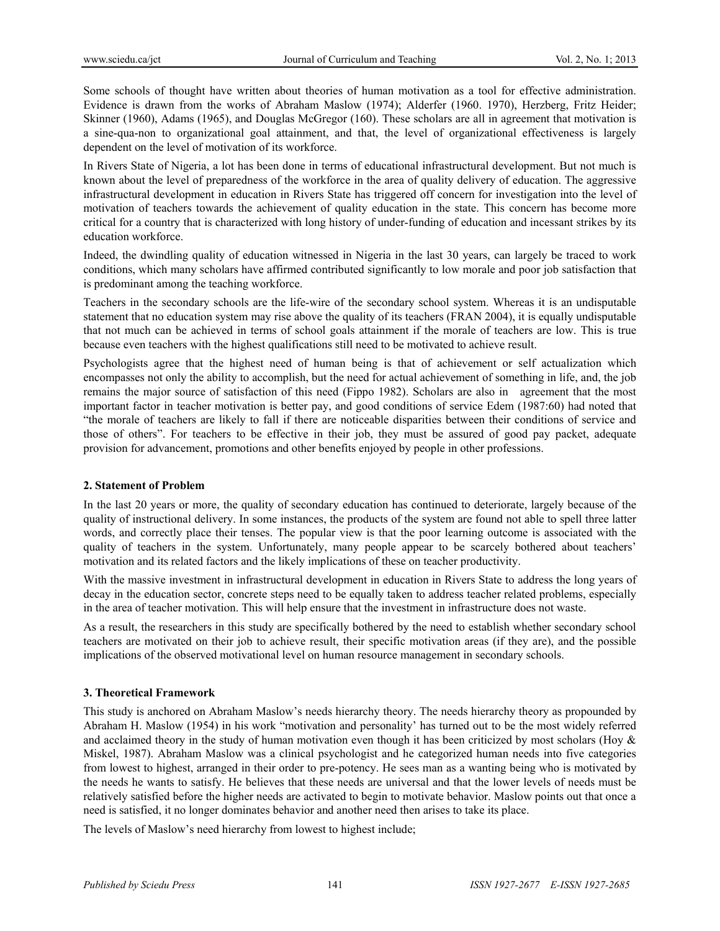Some schools of thought have written about theories of human motivation as a tool for effective administration. Evidence is drawn from the works of Abraham Maslow (1974); Alderfer (1960. 1970), Herzberg, Fritz Heider; Skinner (1960), Adams (1965), and Douglas McGregor (160). These scholars are all in agreement that motivation is a sine-qua-non to organizational goal attainment, and that, the level of organizational effectiveness is largely dependent on the level of motivation of its workforce.

In Rivers State of Nigeria, a lot has been done in terms of educational infrastructural development. But not much is known about the level of preparedness of the workforce in the area of quality delivery of education. The aggressive infrastructural development in education in Rivers State has triggered off concern for investigation into the level of motivation of teachers towards the achievement of quality education in the state. This concern has become more critical for a country that is characterized with long history of under-funding of education and incessant strikes by its education workforce.

Indeed, the dwindling quality of education witnessed in Nigeria in the last 30 years, can largely be traced to work conditions, which many scholars have affirmed contributed significantly to low morale and poor job satisfaction that is predominant among the teaching workforce.

Teachers in the secondary schools are the life-wire of the secondary school system. Whereas it is an undisputable statement that no education system may rise above the quality of its teachers (FRAN 2004), it is equally undisputable that not much can be achieved in terms of school goals attainment if the morale of teachers are low. This is true because even teachers with the highest qualifications still need to be motivated to achieve result.

Psychologists agree that the highest need of human being is that of achievement or self actualization which encompasses not only the ability to accomplish, but the need for actual achievement of something in life, and, the job remains the major source of satisfaction of this need (Fippo 1982). Scholars are also in agreement that the most important factor in teacher motivation is better pay, and good conditions of service Edem (1987:60) had noted that "the morale of teachers are likely to fall if there are noticeable disparities between their conditions of service and those of others". For teachers to be effective in their job, they must be assured of good pay packet, adequate provision for advancement, promotions and other benefits enjoyed by people in other professions.

# **2. Statement of Problem**

In the last 20 years or more, the quality of secondary education has continued to deteriorate, largely because of the quality of instructional delivery. In some instances, the products of the system are found not able to spell three latter words, and correctly place their tenses. The popular view is that the poor learning outcome is associated with the quality of teachers in the system. Unfortunately, many people appear to be scarcely bothered about teachers' motivation and its related factors and the likely implications of these on teacher productivity.

With the massive investment in infrastructural development in education in Rivers State to address the long years of decay in the education sector, concrete steps need to be equally taken to address teacher related problems, especially in the area of teacher motivation. This will help ensure that the investment in infrastructure does not waste.

As a result, the researchers in this study are specifically bothered by the need to establish whether secondary school teachers are motivated on their job to achieve result, their specific motivation areas (if they are), and the possible implications of the observed motivational level on human resource management in secondary schools.

# **3. Theoretical Framework**

This study is anchored on Abraham Maslow's needs hierarchy theory. The needs hierarchy theory as propounded by Abraham H. Maslow (1954) in his work "motivation and personality' has turned out to be the most widely referred and acclaimed theory in the study of human motivation even though it has been criticized by most scholars (Hoy  $\&$ Miskel, 1987). Abraham Maslow was a clinical psychologist and he categorized human needs into five categories from lowest to highest, arranged in their order to pre-potency. He sees man as a wanting being who is motivated by the needs he wants to satisfy. He believes that these needs are universal and that the lower levels of needs must be relatively satisfied before the higher needs are activated to begin to motivate behavior. Maslow points out that once a need is satisfied, it no longer dominates behavior and another need then arises to take its place.

The levels of Maslow's need hierarchy from lowest to highest include;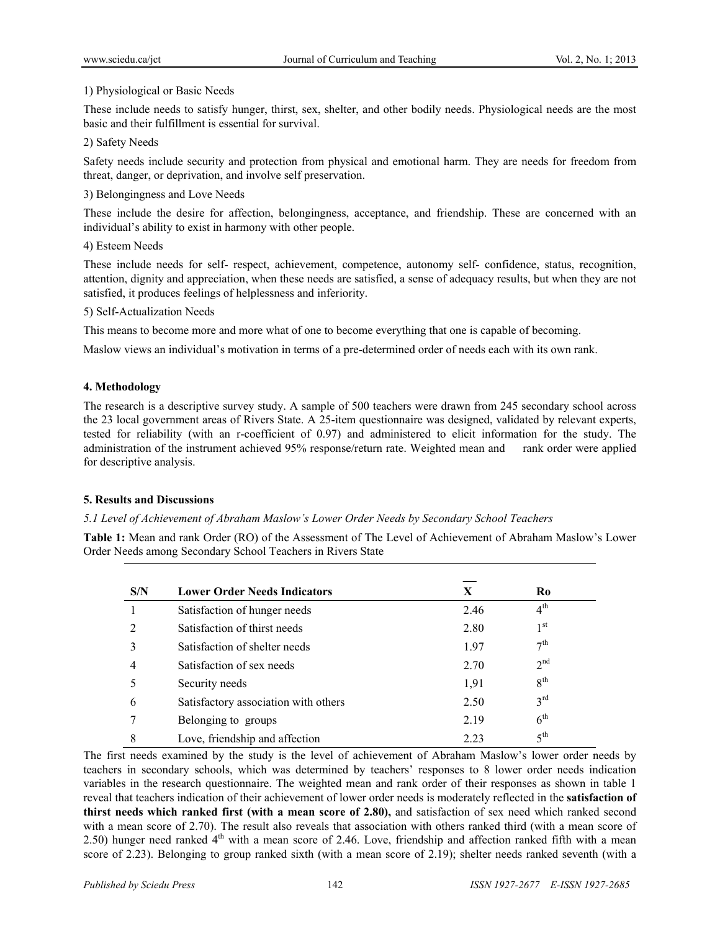# 1) Physiological or Basic Needs

These include needs to satisfy hunger, thirst, sex, shelter, and other bodily needs. Physiological needs are the most basic and their fulfillment is essential for survival.

# 2) Safety Needs

Safety needs include security and protection from physical and emotional harm. They are needs for freedom from threat, danger, or deprivation, and involve self preservation.

# 3) Belongingness and Love Needs

These include the desire for affection, belongingness, acceptance, and friendship. These are concerned with an individual's ability to exist in harmony with other people.

# 4) Esteem Needs

These include needs for self- respect, achievement, competence, autonomy self- confidence, status, recognition, attention, dignity and appreciation, when these needs are satisfied, a sense of adequacy results, but when they are not satisfied, it produces feelings of helplessness and inferiority.

# 5) Self-Actualization Needs

This means to become more and more what of one to become everything that one is capable of becoming.

Maslow views an individual's motivation in terms of a pre-determined order of needs each with its own rank.

# **4. Methodology**

The research is a descriptive survey study. A sample of 500 teachers were drawn from 245 secondary school across the 23 local government areas of Rivers State. A 25-item questionnaire was designed, validated by relevant experts, tested for reliability (with an r-coefficient of 0.97) and administered to elicit information for the study. The administration of the instrument achieved 95% response/return rate. Weighted mean and rank order were applied for descriptive analysis.

# **5. Results and Discussions**

# *5.1 Level of Achievement of Abraham Maslow's Lower Order Needs by Secondary School Teachers*

**Table 1:** Mean and rank Order (RO) of the Assessment of The Level of Achievement of Abraham Maslow's Lower Order Needs among Secondary School Teachers in Rivers State

| S/N | <b>Lower Order Needs Indicators</b>  | X    | R <sub>0</sub>  |
|-----|--------------------------------------|------|-----------------|
|     | Satisfaction of hunger needs         | 2.46 | $4^{\text{th}}$ |
|     | Satisfaction of thirst needs         | 2.80 | 1 <sup>st</sup> |
| 3   | Satisfaction of shelter needs        | 1.97 | 7 <sup>th</sup> |
| 4   | Satisfaction of sex needs            | 2.70 | 2 <sub>nd</sub> |
|     | Security needs                       | 1,91 | 8 <sup>th</sup> |
| 6   | Satisfactory association with others | 2.50 | $3^{\text{rd}}$ |
|     | Belonging to groups                  | 2.19 | 6 <sup>th</sup> |
| 8   | Love, friendship and affection       | 2.23 | 5 <sup>th</sup> |

The first needs examined by the study is the level of achievement of Abraham Maslow's lower order needs by teachers in secondary schools, which was determined by teachers' responses to 8 lower order needs indication variables in the research questionnaire. The weighted mean and rank order of their responses as shown in table 1 reveal that teachers indication of their achievement of lower order needs is moderately reflected in the **satisfaction of thirst needs which ranked first (with a mean score of 2.80),** and satisfaction of sex need which ranked second with a mean score of 2.70). The result also reveals that association with others ranked third (with a mean score of 2.50) hunger need ranked  $4<sup>th</sup>$  with a mean score of 2.46. Love, friendship and affection ranked fifth with a mean score of 2.23). Belonging to group ranked sixth (with a mean score of 2.19); shelter needs ranked seventh (with a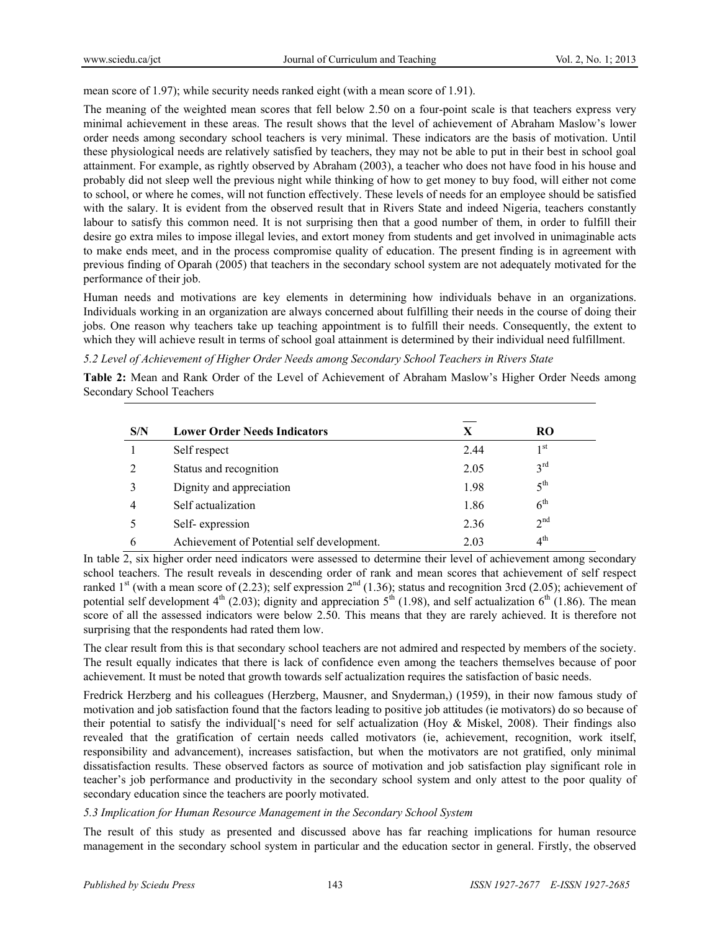mean score of 1.97); while security needs ranked eight (with a mean score of 1.91).

The meaning of the weighted mean scores that fell below 2.50 on a four-point scale is that teachers express very minimal achievement in these areas. The result shows that the level of achievement of Abraham Maslow's lower order needs among secondary school teachers is very minimal. These indicators are the basis of motivation. Until these physiological needs are relatively satisfied by teachers, they may not be able to put in their best in school goal attainment. For example, as rightly observed by Abraham (2003), a teacher who does not have food in his house and probably did not sleep well the previous night while thinking of how to get money to buy food, will either not come to school, or where he comes, will not function effectively. These levels of needs for an employee should be satisfied with the salary. It is evident from the observed result that in Rivers State and indeed Nigeria, teachers constantly labour to satisfy this common need. It is not surprising then that a good number of them, in order to fulfill their desire go extra miles to impose illegal levies, and extort money from students and get involved in unimaginable acts to make ends meet, and in the process compromise quality of education. The present finding is in agreement with previous finding of Oparah (2005) that teachers in the secondary school system are not adequately motivated for the performance of their job.

Human needs and motivations are key elements in determining how individuals behave in an organizations. Individuals working in an organization are always concerned about fulfilling their needs in the course of doing their jobs. One reason why teachers take up teaching appointment is to fulfill their needs. Consequently, the extent to which they will achieve result in terms of school goal attainment is determined by their individual need fulfillment.

*5.2 Level of Achievement of Higher Order Needs among Secondary School Teachers in Rivers State* 

**Table 2:** Mean and Rank Order of the Level of Achievement of Abraham Maslow's Higher Order Needs among Secondary School Teachers

| S/N | <b>Lower Order Needs Indicators</b>        | X    | RO.             |  |
|-----|--------------------------------------------|------|-----------------|--|
|     | Self respect                               | 2.44 | 1 <sup>st</sup> |  |
| 2   | Status and recognition                     | 2.05 | 3 <sup>rd</sup> |  |
|     | Dignity and appreciation                   | 1.98 | $5^{\text{th}}$ |  |
| 4   | Self actualization                         | 1.86 | $6^{\text{th}}$ |  |
|     | Self-expression                            | 2.36 | 2 <sup>nd</sup> |  |
| 6   | Achievement of Potential self development. | 2.03 | $4^{\text{th}}$ |  |

In table 2, six higher order need indicators were assessed to determine their level of achievement among secondary school teachers. The result reveals in descending order of rank and mean scores that achievement of self respect ranked 1<sup>st</sup> (with a mean score of (2.23); self expression  $2<sup>nd</sup>$  (1.36); status and recognition 3rcd (2.05); achievement of potential self development  $4<sup>th</sup>$  (2.03); dignity and appreciation  $5<sup>th</sup>$  (1.98), and self actualization  $6<sup>th</sup>$  (1.86). The mean score of all the assessed indicators were below 2.50. This means that they are rarely achieved. It is therefore not surprising that the respondents had rated them low.

The clear result from this is that secondary school teachers are not admired and respected by members of the society. The result equally indicates that there is lack of confidence even among the teachers themselves because of poor achievement. It must be noted that growth towards self actualization requires the satisfaction of basic needs.

Fredrick Herzberg and his colleagues (Herzberg, Mausner, and Snyderman,) (1959), in their now famous study of motivation and job satisfaction found that the factors leading to positive job attitudes (ie motivators) do so because of their potential to satisfy the individual['s need for self actualization (Hoy & Miskel, 2008). Their findings also revealed that the gratification of certain needs called motivators (ie, achievement, recognition, work itself, responsibility and advancement), increases satisfaction, but when the motivators are not gratified, only minimal dissatisfaction results. These observed factors as source of motivation and job satisfaction play significant role in teacher's job performance and productivity in the secondary school system and only attest to the poor quality of secondary education since the teachers are poorly motivated.

# *5.3 Implication for Human Resource Management in the Secondary School System*

The result of this study as presented and discussed above has far reaching implications for human resource management in the secondary school system in particular and the education sector in general. Firstly, the observed